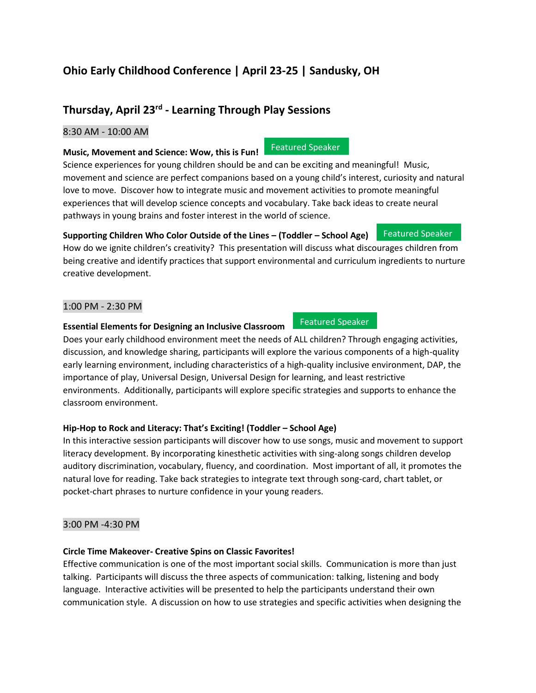# **Ohio Early Childhood Conference | April 23-25 | Sandusky, OH**

## **Thursday, April 23 rd - Learning Through Play Sessions**

#### 8:30 AM - 10:00 AM

#### **Music, Movement and Science: Wow, this is Fun!**

Science experiences for young children should be and can be exciting and meaningful! Music, movement and science are perfect companions based on a young child's interest, curiosity and natural love to move. Discover how to integrate music and movement activities to promote meaningful experiences that will develop science concepts and vocabulary. Take back ideas to create neural pathways in young brains and foster interest in the world of science.

#### **Supporting Children Who Color Outside of the Lines – (Toddler – School Age)** Featured Speaker

How do we ignite children's creativity? This presentation will discuss what discourages children from being creative and identify practices that support environmental and curriculum ingredients to nurture creative development.

#### 1:00 PM - 2:30 PM

#### **Essential Elements for Designing an Inclusive Classroom**

Does your early childhood environment meet the needs of ALL children? Through engaging activities, discussion, and knowledge sharing, participants will explore the various components of a high-quality early learning environment, including characteristics of a high-quality inclusive environment, DAP, the importance of play, Universal Design, Universal Design for learning, and least restrictive environments. Additionally, participants will explore specific strategies and supports to enhance the classroom environment.

### **Hip-Hop to Rock and Literacy: That's Exciting! (Toddler – School Age)**

In this interactive session participants will discover how to use songs, music and movement to support literacy development. By incorporating kinesthetic activities with sing-along songs children develop auditory discrimination, vocabulary, fluency, and coordination. Most important of all, it promotes the natural love for reading. Take back strategies to integrate text through song-card, chart tablet, or pocket-chart phrases to nurture confidence in your young readers.

### 3:00 PM -4:30 PM

### **Circle Time Makeover- Creative Spins on Classic Favorites!**

Effective communication is one of the most important social skills. Communication is more than just talking. Participants will discuss the three aspects of communication: talking, listening and body language. Interactive activities will be presented to help the participants understand their own communication style. A discussion on how to use strategies and specific activities when designing the

#### Featured Speaker

Featured Speaker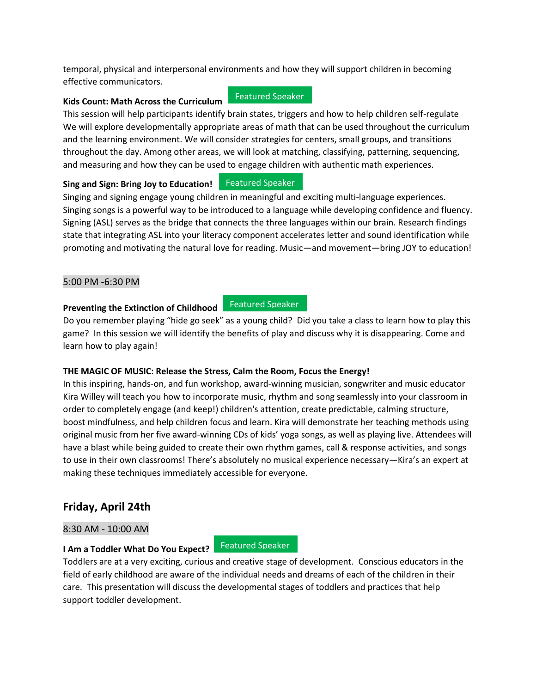temporal, physical and interpersonal environments and how they will support children in becoming effective communicators.

#### **Kids Count: Math Across the Curriculum**

This session will help participants identify brain states, triggers and how to help children self-regulate We will explore developmentally appropriate areas of math that can be used throughout the curriculum and the learning environment. We will consider strategies for centers, small groups, and transitions throughout the day. Among other areas, we will look at matching, classifying, patterning, sequencing, and measuring and how they can be used to engage children with authentic math experiences.

Featured Speaker

#### **Sing and Sign: Bring Joy to Education!** Featured Speaker

Singing and signing engage young children in meaningful and exciting multi-language experiences. Singing songs is a powerful way to be introduced to a language while developing confidence and fluency. Signing (ASL) serves as the bridge that connects the three languages within our brain. Research findings state that integrating ASL into your literacy component accelerates letter and sound identification while promoting and motivating the natural love for reading. Music—and movement—bring JOY to education!

#### 5:00 PM -6:30 PM

#### **Preventing the Extinction of Childhood** Featured Speaker

Do you remember playing "hide go seek" as a young child? Did you take a class to learn how to play this game? In this session we will identify the benefits of play and discuss why it is disappearing. Come and learn how to play again!

#### **THE MAGIC OF MUSIC: Release the Stress, Calm the Room, Focus the Energy!**

In this inspiring, hands-on, and fun workshop, award-winning musician, songwriter and music educator Kira Willey will teach you how to incorporate music, rhythm and song seamlessly into your classroom in order to completely engage (and keep!) children's attention, create predictable, calming structure, boost mindfulness, and help children focus and learn. Kira will demonstrate her teaching methods using original music from her five award-winning CDs of kids' yoga songs, as well as playing live. Attendees will have a blast while being guided to create their own rhythm games, call & response activities, and songs to use in their own classrooms! There's absolutely no musical experience necessary—Kira's an expert at making these techniques immediately accessible for everyone.

## **Friday, April 24th**

#### 8:30 AM - 10:00 AM

**I Am a Toddler What Do You Expect?** Featured Speaker

Toddlers are at a very exciting, curious and creative stage of development. Conscious educators in the field of early childhood are aware of the individual needs and dreams of each of the children in their care. This presentation will discuss the developmental stages of toddlers and practices that help support toddler development.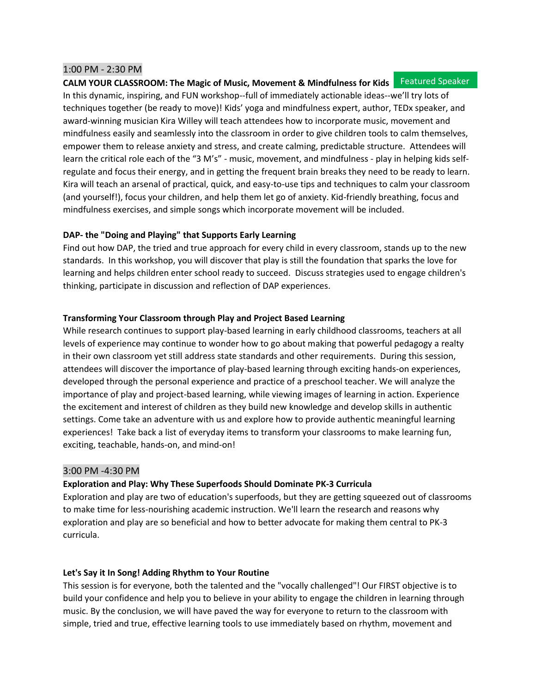#### 1:00 PM - 2:30 PM

#### **CALM YOUR CLASSROOM: The Magic of Music, Movement & Mindfulness for Kids** Featured Speaker

In this dynamic, inspiring, and FUN workshop--full of immediately actionable ideas--we'll try lots of techniques together (be ready to move)! Kids' yoga and mindfulness expert, author, TEDx speaker, and award-winning musician Kira Willey will teach attendees how to incorporate music, movement and mindfulness easily and seamlessly into the classroom in order to give children tools to calm themselves, empower them to release anxiety and stress, and create calming, predictable structure. Attendees will learn the critical role each of the "3 M's" - music, movement, and mindfulness - play in helping kids selfregulate and focus their energy, and in getting the frequent brain breaks they need to be ready to learn. Kira will teach an arsenal of practical, quick, and easy-to-use tips and techniques to calm your classroom (and yourself!), focus your children, and help them let go of anxiety. Kid-friendly breathing, focus and mindfulness exercises, and simple songs which incorporate movement will be included.

#### **DAP- the "Doing and Playing" that Supports Early Learning**

Find out how DAP, the tried and true approach for every child in every classroom, stands up to the new standards. In this workshop, you will discover that play is still the foundation that sparks the love for learning and helps children enter school ready to succeed. Discuss strategies used to engage children's thinking, participate in discussion and reflection of DAP experiences.

#### **Transforming Your Classroom through Play and Project Based Learning**

While research continues to support play-based learning in early childhood classrooms, teachers at all levels of experience may continue to wonder how to go about making that powerful pedagogy a realty in their own classroom yet still address state standards and other requirements. During this session, attendees will discover the importance of play-based learning through exciting hands-on experiences, developed through the personal experience and practice of a preschool teacher. We will analyze the importance of play and project-based learning, while viewing images of learning in action. Experience the excitement and interest of children as they build new knowledge and develop skills in authentic settings. Come take an adventure with us and explore how to provide authentic meaningful learning experiences! Take back a list of everyday items to transform your classrooms to make learning fun, exciting, teachable, hands-on, and mind-on!

#### 3:00 PM -4:30 PM

#### **Exploration and Play: Why These Superfoods Should Dominate PK-3 Curricula**

Exploration and play are two of education's superfoods, but they are getting squeezed out of classrooms to make time for less-nourishing academic instruction. We'll learn the research and reasons why exploration and play are so beneficial and how to better advocate for making them central to PK-3 curricula.

#### **Let's Say it In Song! Adding Rhythm to Your Routine**

This session is for everyone, both the talented and the "vocally challenged"! Our FIRST objective is to build your confidence and help you to believe in your ability to engage the children in learning through music. By the conclusion, we will have paved the way for everyone to return to the classroom with simple, tried and true, effective learning tools to use immediately based on rhythm, movement and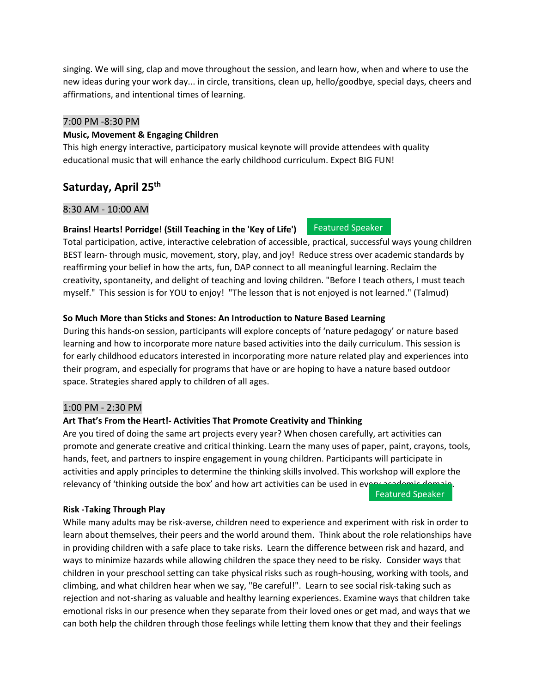singing. We will sing, clap and move throughout the session, and learn how, when and where to use the new ideas during your work day... in circle, transitions, clean up, hello/goodbye, special days, cheers and affirmations, and intentional times of learning.

#### 7:00 PM -8:30 PM

#### **Music, Movement & Engaging Children**

This high energy interactive, participatory musical keynote will provide attendees with quality educational music that will enhance the early childhood curriculum. Expect BIG FUN!

## **Saturday, April 25th**

#### 8:30 AM - 10:00 AM

#### **Brains! Hearts! Porridge! (Still Teaching in the 'Key of Life')**

Total participation, active, interactive celebration of accessible, practical, successful ways young children BEST learn- through music, movement, story, play, and joy! Reduce stress over academic standards by reaffirming your belief in how the arts, fun, DAP connect to all meaningful learning. Reclaim the creativity, spontaneity, and delight of teaching and loving children. "Before I teach others, I must teach myself." This session is for YOU to enjoy! "The lesson that is not enjoyed is not learned." (Talmud)

Featured Speaker

#### **So Much More than Sticks and Stones: An Introduction to Nature Based Learning**

During this hands-on session, participants will explore concepts of 'nature pedagogy' or nature based learning and how to incorporate more nature based activities into the daily curriculum. This session is for early childhood educators interested in incorporating more nature related play and experiences into their program, and especially for programs that have or are hoping to have a nature based outdoor space. Strategies shared apply to children of all ages.

#### 1:00 PM - 2:30 PM

#### **Art That's From the Heart!- Activities That Promote Creativity and Thinking**

Are you tired of doing the same art projects every year? When chosen carefully, art activities can promote and generate creative and critical thinking. Learn the many uses of paper, paint, crayons, tools, hands, feet, and partners to inspire engagement in young children. Participants will participate in activities and apply principles to determine the thinking skills involved. This workshop will explore the relevancy of 'thinking outside the box' and how art activities can be used in every

Featured Speaker

#### **Risk -Taking Through Play**

While many adults may be risk-averse, children need to experience and experiment with risk in order to learn about themselves, their peers and the world around them. Think about the role relationships have in providing children with a safe place to take risks. Learn the difference between risk and hazard, and ways to minimize hazards while allowing children the space they need to be risky. Consider ways that children in your preschool setting can take physical risks such as rough-housing, working with tools, and climbing, and what children hear when we say, "Be careful!". Learn to see social risk-taking such as rejection and not-sharing as valuable and healthy learning experiences. Examine ways that children take emotional risks in our presence when they separate from their loved ones or get mad, and ways that we can both help the children through those feelings while letting them know that they and their feelings